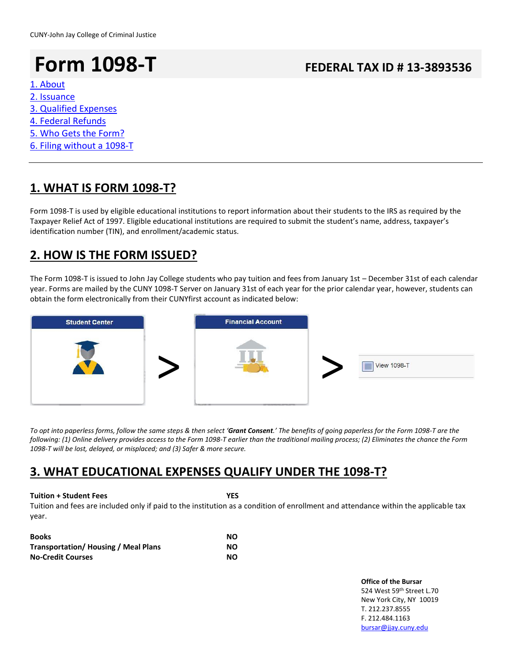# **Form 1098-T FEDERAL TAX ID # 13-3893536**

### [1. About](#page-0-0)

- [2. Issuance](#page-0-1)
- [3. Qualified Expenses](#page-0-2)
- [4. Federal Refunds](#page-1-0)
- [5. Who Gets the Form?](#page-1-1)
- [6. Filing without a 1098-T](#page-1-2)

## <span id="page-0-0"></span>**1. WHAT IS FORM 1098-T?**

Form 1098-T is used by eligible educational institutions to report information about their students to the IRS as required by the Taxpayer Relief Act of 1997. Eligible educational institutions are required to submit the student's name, address, taxpayer's identification number (TIN), and enrollment/academic status.

## <span id="page-0-1"></span>**2. HOW IS THE FORM ISSUED?**

The Form 1098-T is issued to John Jay College students who pay tuition and fees from January 1st – December 31st of each calendar year. Forms are mailed by the CUNY 1098-T Server on January 31st of each year for the prior calendar year, however, students can obtain the form electronically from their CUNYfirst account as indicated below:



*To opt into paperless forms, follow the same steps & then select 'Grant Consent.' The benefits of going paperless for the Form 1098-T are the following: (1) Online delivery provides access to the Form 1098-T earlier than the traditional mailing process; (2) Eliminates the chance the Form 1098-T will be lost, delayed, or misplaced; and (3) Safer & more secure.*

### <span id="page-0-2"></span>**3. WHAT EDUCATIONAL EXPENSES QUALIFY UNDER THE 1098-T?**

### **Tuition + Student Fees YES**

Tuition and fees are included only if paid to the institution as a condition of enrollment and attendance within the applicable tax year.

| <b>Books</b>                               | NΟ |
|--------------------------------------------|----|
| <b>Transportation/Housing / Meal Plans</b> | NΟ |
| <b>No-Credit Courses</b>                   | NΟ |

**Office of the Bursar** 524 West 59th Street L.70 New York City, NY 10019 T. 212.237.8555 F. 212.484.1163 [bursar@jjay.cuny.edu](mailto:bursar@jjay.cuny.edu)